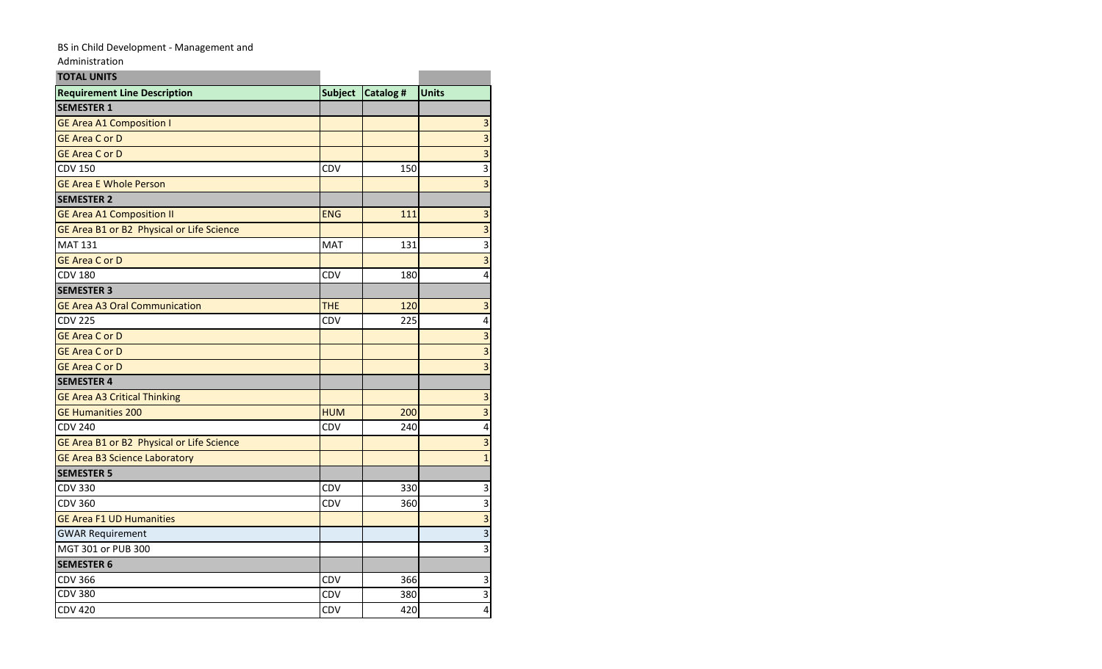## BS in Child Development - Management and

Administration

| <b>TOTAL UNITS</b>                        |                |                 |                         |
|-------------------------------------------|----------------|-----------------|-------------------------|
| <b>Requirement Line Description</b>       | <b>Subject</b> | <b>Catalog#</b> | <b>Units</b>            |
| <b>SEMESTER 1</b>                         |                |                 |                         |
| <b>GE Area A1 Composition I</b>           |                |                 | $\overline{\mathbf{3}}$ |
| <b>GE Area C or D</b>                     |                |                 | $\overline{\mathbf{3}}$ |
| <b>GE Area C or D</b>                     |                |                 | $\overline{3}$          |
| <b>CDV 150</b>                            | CDV            | 150             | 3                       |
| <b>GE Area E Whole Person</b>             |                |                 | 3                       |
| <b>SEMESTER 2</b>                         |                |                 |                         |
| <b>GE Area A1 Composition II</b>          | <b>ENG</b>     | 111             | $\mathsf 3$             |
| GE Area B1 or B2 Physical or Life Science |                |                 | $\mathsf 3$             |
| <b>MAT 131</b>                            | <b>MAT</b>     | 131             | 3                       |
| <b>GE Area C or D</b>                     |                |                 | $\overline{\mathbf{3}}$ |
| <b>CDV 180</b>                            | CDV            | 180             | $\overline{\mathbf{4}}$ |
| <b>SEMESTER 3</b>                         |                |                 |                         |
| <b>GE Area A3 Oral Communication</b>      | <b>THE</b>     | 120             | 3                       |
| <b>CDV 225</b>                            | CDV            | 225             | 4                       |
| <b>GE Area C or D</b>                     |                |                 | $\overline{\mathbf{3}}$ |
| <b>GE Area C or D</b>                     |                |                 | $\overline{3}$          |
| <b>GE Area C or D</b>                     |                |                 | 3                       |
| <b>SEMESTER 4</b>                         |                |                 |                         |
| <b>GE Area A3 Critical Thinking</b>       |                |                 | $\overline{3}$          |
| <b>GE Humanities 200</b>                  | <b>HUM</b>     | 200             | $\overline{\mathbf{3}}$ |
| <b>CDV 240</b>                            | <b>CDV</b>     | 240             | $\overline{\mathbf{4}}$ |
| GE Area B1 or B2 Physical or Life Science |                |                 | $\overline{\mathbf{3}}$ |
| <b>GE Area B3 Science Laboratory</b>      |                |                 | $\mathbf 1$             |
| <b>SEMESTER 5</b>                         |                |                 |                         |
| <b>CDV 330</b>                            | CDV            | 330             | 3                       |
| <b>CDV 360</b>                            | CDV            | 360             | 3                       |
| <b>GE Area F1 UD Humanities</b>           |                |                 | $\overline{3}$          |
| <b>GWAR Requirement</b>                   |                |                 | $\overline{3}$          |
| MGT 301 or PUB 300                        |                |                 | 3                       |
| <b>SEMESTER 6</b>                         |                |                 |                         |
| <b>CDV 366</b>                            | CDV            | 366             | 3                       |
| <b>CDV 380</b>                            | CDV            | 380             | 3                       |
| <b>CDV 420</b>                            | CDV            | 420             | $\overline{\mathbf{4}}$ |